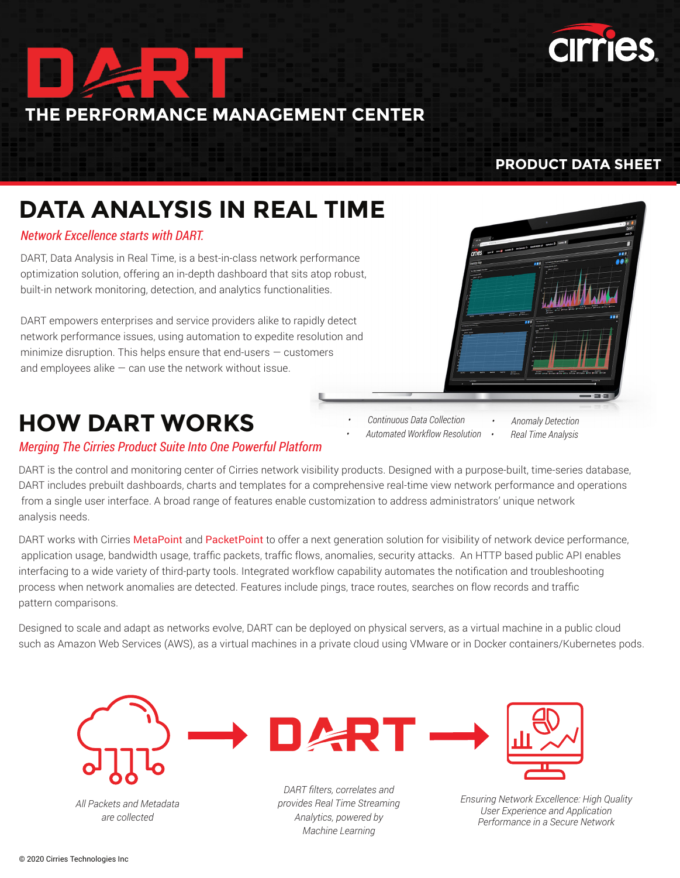

#### **PRODUCT DATA SHEET**

## **DATA ANALYSIS IN REAL TIME**

**THE PERFORMANCE MANAGEMENT CENTER**

#### *Network Excellence starts with DART.*

DART, Data Analysis in Real Time, is a best-in-class network performance optimization solution, offering an in-depth dashboard that sits atop robust, built-in network monitoring, detection, and analytics functionalities.

DART empowers enterprises and service providers alike to rapidly detect network performance issues, using automation to expedite resolution and minimize disruption. This helps ensure that end-users — customers and employees alike  $-$  can use the network without issue.

## **HOW DART WORKS**

#### *Merging The Cirries Product Suite Into One Powerful Platform*

- *• Continuous Data Collection • Automated Workflow Resolution*
- *• Real Time Analysis • Anomaly Detection*

DART is the control and monitoring center of Cirries network visibility products. Designed with a purpose-built, time-series database, DART includes prebuilt dashboards, charts and templates for a comprehensive real-time view network performance and operations from a single user interface. A broad range of features enable customization to address administrators' unique network analysis needs.

DART works with Cirries MetaPoint and PacketPoint to offer a next generation solution for visibility of network device performance, application usage, bandwidth usage, traffic packets, traffic flows, anomalies, security attacks. An HTTP based public API enables interfacing to a wide variety of third-party tools. Integrated workflow capability automates the notification and troubleshooting process when network anomalies are detected. Features include pings, trace routes, searches on flow records and traffic pattern comparisons.

Designed to scale and adapt as networks evolve, DART can be deployed on physical servers, as a virtual machine in a public cloud such as Amazon Web Services (AWS), as a virtual machines in a private cloud using VMware or in Docker containers/Kubernetes pods.



*All Packets and Metadata are collected*

*DART filters, correlates and provides Real Time Streaming Analytics, powered by Machine Learning*



*Ensuring Network Excellence: High Quality User Experience and Application Performance in a Secure Network*